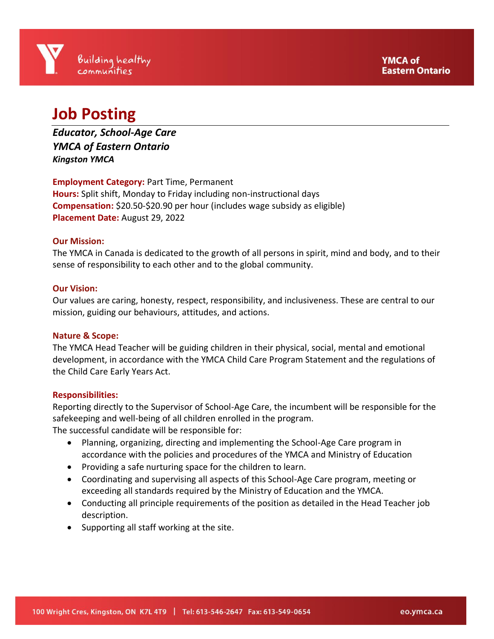# **Job Posting**

*Educator, School-Age Care YMCA of Eastern Ontario Kingston YMCA*

**Employment Category:** Part Time, Permanent **Hours:** Split shift, Monday to Friday including non-instructional days **Compensation:** \$20.50-\$20.90 per hour (includes wage subsidy as eligible) **Placement Date:** August 29, 2022

# **Our Mission:**

The YMCA in Canada is dedicated to the growth of all persons in spirit, mind and body, and to their sense of responsibility to each other and to the global community.

## **Our Vision:**

Our values are caring, honesty, respect, responsibility, and inclusiveness. These are central to our mission, guiding our behaviours, attitudes, and actions.

#### **Nature & Scope:**

The YMCA Head Teacher will be guiding children in their physical, social, mental and emotional development, in accordance with the YMCA Child Care Program Statement and the regulations of the Child Care Early Years Act.

#### **Responsibilities:**

Reporting directly to the Supervisor of School-Age Care, the incumbent will be responsible for the safekeeping and well-being of all children enrolled in the program.

The successful candidate will be responsible for:

- Planning, organizing, directing and implementing the School-Age Care program in accordance with the policies and procedures of the YMCA and Ministry of Education
- Providing a safe nurturing space for the children to learn.
- Coordinating and supervising all aspects of this School-Age Care program, meeting or exceeding all standards required by the Ministry of Education and the YMCA.
- Conducting all principle requirements of the position as detailed in the Head Teacher job description.
- Supporting all staff working at the site.